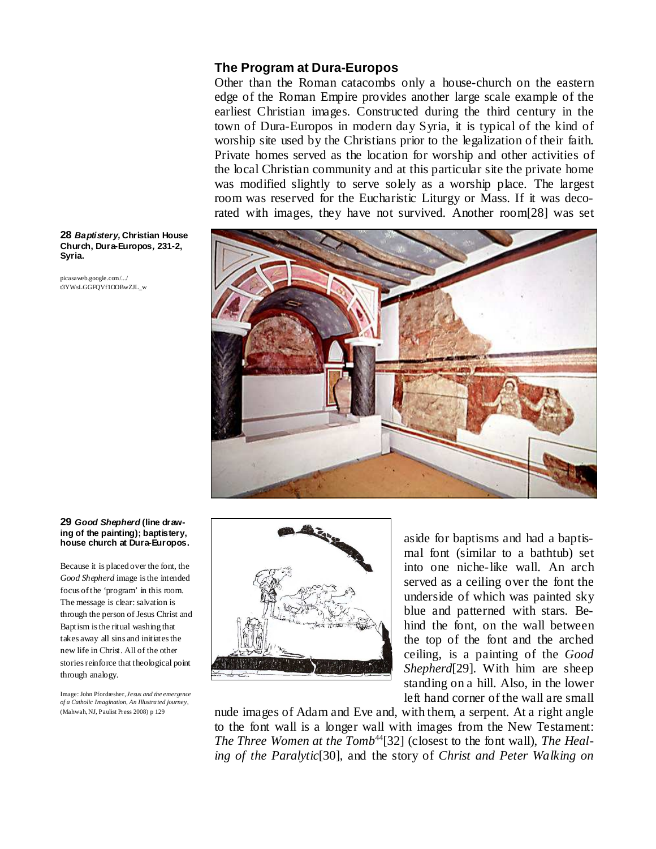## **The Program at Dura-Europos**

Other than the Roman catacombs only a house-church on the eastern edge of the Roman Empire provides another large scale example of the earliest Christian images. Constructed during the third century in the town of Dura-Europos in modern day Syria, it is typical of the kind of worship site used by the Christians prior to the legalization of their faith. Private homes served as the location for worship and other activities of the local Christian community and at this particular site the private home was modified slightly to serve solely as a worship place. The largest room was reserved for the Eucharistic Liturgy or Mass. If it was decorated with images, they have not survived. Another room[28] was set



#### **28 Baptistery, Christian House Church, Dura-Europos, 231-2, Syria.**

picasaweb.google.com/.../ t3YWsLGGFQVf1OOBwZJL\_w

## **29 Good Shepherd (line drawing of the painting); baptistery, house church at Dura-Europos.**

Because it is placed over the font, the *Good Shepherd* image is the intended focus of the 'program' in this room. The message is clear: salvation is through the person of Jesus Christ and Baptism is the ritual washing that takes away all sins and initiates the new life in Christ. All of the other stories reinforce that theological point through analogy.

Image: John Pfordresher, *Jesus and the emergence of a Catholic Imagination, An Illustra ted journey,*  (Mahwah, NJ, Paulist Press 2008) p 129



aside for baptisms and had a baptismal font (similar to a bathtub) set into one niche-like wall. An arch served as a ceiling over the font the underside of which was painted sky blue and patterned with stars. Behind the font, on the wall between the top of the font and the arched ceiling, is a painting of the *Good Shepherd*[29]. With him are sheep standing on a hill. Also, in the lower left hand corner of the wall are small

nude images of Adam and Eve and, with them, a serpent. At a right angle to the font wall is a longer wall with images from the New Testament: The Three Women at the Tomb<sup>44</sup>[32] (closest to the font wall), The Heal*ing of the Paralytic*[30], and the story of *Christ and Peter Walking on*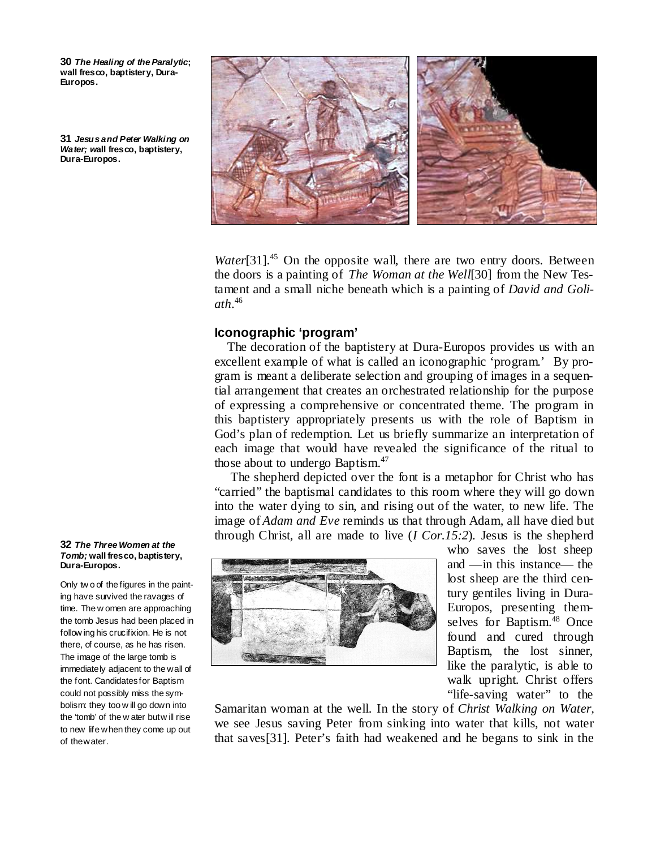**30 The Healing of the Paralytic; wall fresco, baptistery, Dura-Europos.** 

**31 Jesus and Peter Walking on Water; wall fresco, baptistery, Dura-Europos.** 



*Water*<sup>[31]</sup>.<sup>45</sup> On the opposite wall, there are two entry doors. Between the doors is a painting of *The Woman at the Well*[30] from the New Testament and a small niche beneath which is a painting of *David and Goliath*. 46

## **Iconographic 'program'**

 The decoration of the baptistery at Dura-Europos provides us with an excellent example of what is called an iconographic 'program.' By program is meant a deliberate selection and grouping of images in a sequential arrangement that creates an orchestrated relationship for the purpose of expressing a comprehensive or concentrated theme. The program in this baptistery appropriately presents us with the role of Baptism in God's plan of redemption. Let us briefly summarize an interpretation of each image that would have revealed the significance of the ritual to those about to undergo Baptism.<sup>47</sup>

 The shepherd depicted over the font is a metaphor for Christ who has "carried" the baptismal candidates to this room where they will go down into the water dying to sin, and rising out of the water, to new life. The image of *Adam and Eve* reminds us that through Adam, all have died but through Christ, all are made to live (*I Cor.15:2*). Jesus is the shepherd



who saves the lost sheep and —in this instance— the lost sheep are the third century gentiles living in Dura-Europos, presenting themselves for Baptism.<sup>48</sup> Once found and cured through Baptism, the lost sinner, like the paralytic, is able to walk upright. Christ offers "life-saving water" to the

Samaritan woman at the well. In the story of *Christ Walking on Water,* we see Jesus saving Peter from sinking into water that kills, not water that saves[31]. Peter's faith had weakened and he begans to sink in the

#### **32 The Three Women at the Tomb; wall fresco, baptistery, Dura-Europos.**

Only tw o of the figures in the painting have survived the ravages of time. The w omen are approaching the tomb Jesus had been placed in follow ing his crucifixion. He is not there, of course, as he has risen. The image of the large tomb is immediately adjacent to the wall of the font. Candidates for Baptism could not possibly miss the symbolism: they too w ill go down into the 'tomb' of the w ater but w ill rise to new life when they come up out of the water.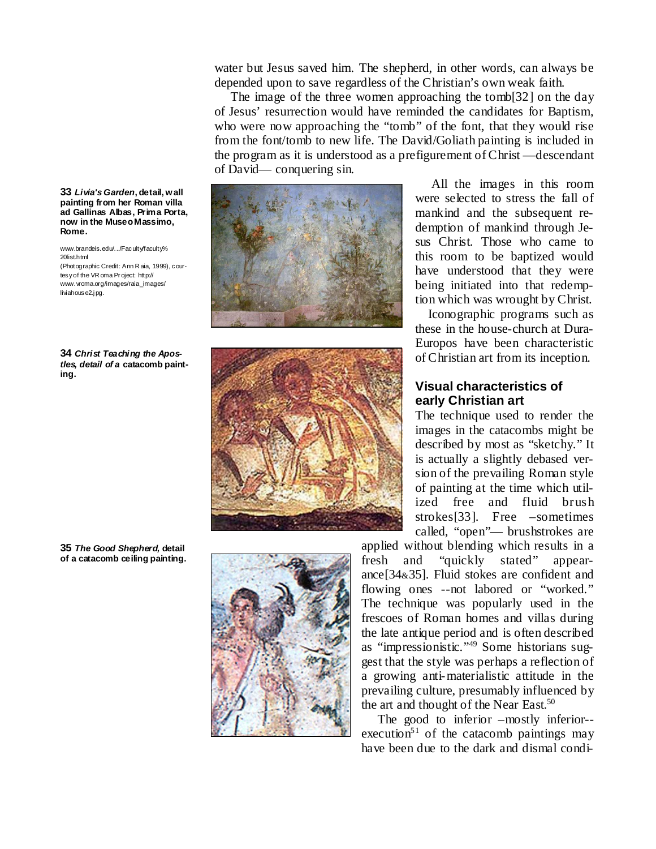water but Jesus saved him. The shepherd, in other words, can always be depended upon to save regardless of the Christian's own weak faith.

 The image of the three women approaching the tomb[32] on the day of Jesus' resurrection would have reminded the candidates for Baptism, who were now approaching the "tomb" of the font, that they would rise from the font/tomb to new life. The David/Goliath painting is included in the program as it is understood as a prefigurement of Christ —descendant of David— conquering sin.





 All the images in this room were selected to stress the fall of mankind and the subsequent redemption of mankind through Jesus Christ. Those who came to this room to be baptized would have understood that they were being initiated into that redemption which was wrought by Christ.

 Iconographic programs such as these in the house-church at Dura-Europos have been characteristic of Christian art from its inception.

# **Visual characteristics of early Christian art**

The technique used to render the images in the catacombs might be described by most as "sketchy." It is actually a slightly debased version of the prevailing Roman style of painting at the time which utilized free and fluid brush strokes[33]. Free –sometimes called, "open"— brushstrokes are

applied without blending which results in a fresh and "quickly stated" appearance[34&35]. Fluid stokes are confident and flowing ones --not labored or "worked." The technique was popularly used in the frescoes of Roman homes and villas during the late antique period and is often described as "impressionistic."49 Some historians suggest that the style was perhaps a reflection of a growing anti-materialistic attitude in the prevailing culture, presumably influenced by the art and thought of the Near East.<sup>50</sup>

The good to inferior –mostly inferior-execution<sup>51</sup> of the catacomb paintings may have been due to the dark and dismal condi-

**33 Livia's Garden, detail, wall painting from her Roman villa ad Gallinas Albas, Prima Porta, now in the Museo Massimo, Rome.** 

www.brandeis.edu/.../Faculty/faculty% 20list.html (Photographic Credit: Ann R aia, 1999), courtesy of the VR oma Pr oject: http:// www.vroma.org/images/raia\_images/ liviahouse2.jpg.

**34 Christ Teaching the Apostles, detail of a catacomb painting.** 

**35 The Good Shepherd, detail of a catacomb ceiling painting.** 

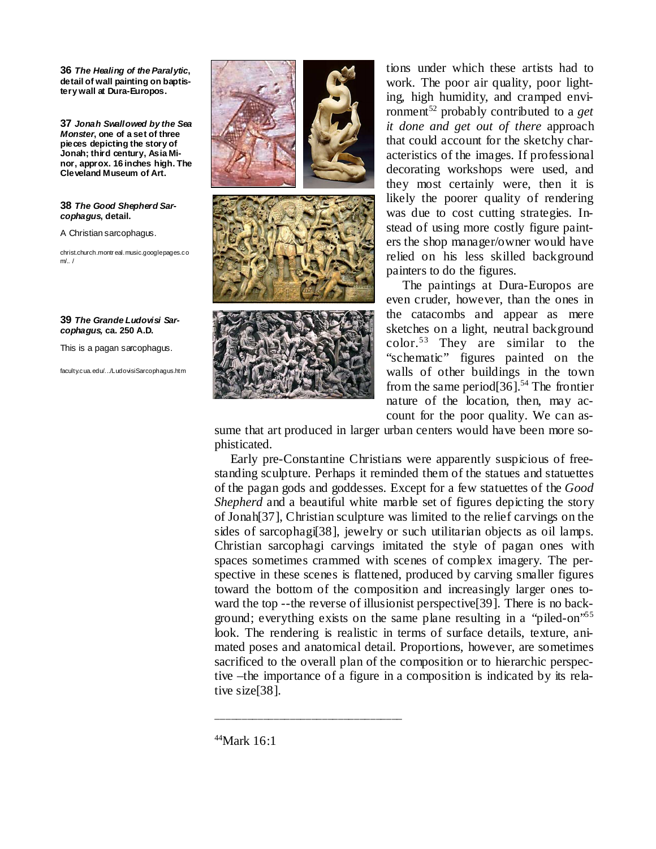**36 The Healing of the Paralytic, detail of wall painting on baptistery wall at Dura-Europos.** 

**37 Jonah Swallowed by the Sea Monster, one of a set of three pieces depicting the story of Jonah; third century, Asia Minor, approx. 16 inches high. The Cleveland Museum of Art.** 

**38 The Good Shepherd Sarcophagus, detail.** 

A Christian sarcophagus.

christ.church.montr eal.music.googlepages.co m/.. /

## **39 The Grande Ludovisi Sarcophagus, ca. 250 A.D.**

This is a pagan sarcophagus.

faculty.cua.edu/.../LudovisiSarcophagus.htm







tions under which these artists had to work. The poor air quality, poor lighting, high humidity, and cramped environment<sup>52</sup> probably contributed to a *get it done and get out of there* approach that could account for the sketchy characteristics of the images. If professional decorating workshops were used, and they most certainly were, then it is likely the poorer quality of rendering was due to cost cutting strategies. Instead of using more costly figure painters the shop manager/owner would have relied on his less skilled background painters to do the figures.

 The paintings at Dura-Europos are even cruder, however, than the ones in the catacombs and appear as mere sketches on a light, neutral background color.<sup>53</sup> They are similar to the "schematic" figures painted on the walls of other buildings in the town from the same period $[36]$ <sup>54</sup> The frontier nature of the location, then, may account for the poor quality. We can as-

sume that art produced in larger urban centers would have been more sophisticated.

 Early pre-Constantine Christians were apparently suspicious of freestanding sculpture. Perhaps it reminded them of the statues and statuettes of the pagan gods and goddesses. Except for a few statuettes of the *Good Shepherd* and a beautiful white marble set of figures depicting the story of Jonah[37], Christian sculpture was limited to the relief carvings on the sides of sarcophagi[38], jewelry or such utilitarian objects as oil lamps. Christian sarcophagi carvings imitated the style of pagan ones with spaces sometimes crammed with scenes of complex imagery. The perspective in these scenes is flattened, produced by carving smaller figures toward the bottom of the composition and increasingly larger ones toward the top --the reverse of illusionist perspective[39]. There is no background; everything exists on the same plane resulting in a "piled-on"<sup>55</sup> look. The rendering is realistic in terms of surface details, texture, animated poses and anatomical detail. Proportions, however, are sometimes sacrificed to the overall plan of the composition or to hierarchic perspective –the importance of a figure in a composition is indicated by its relative size[38].

<sup>44</sup>Mark 16:1

\_\_\_\_\_\_\_\_\_\_\_\_\_\_\_\_\_\_\_\_\_\_\_\_\_\_\_\_\_\_\_\_\_\_\_